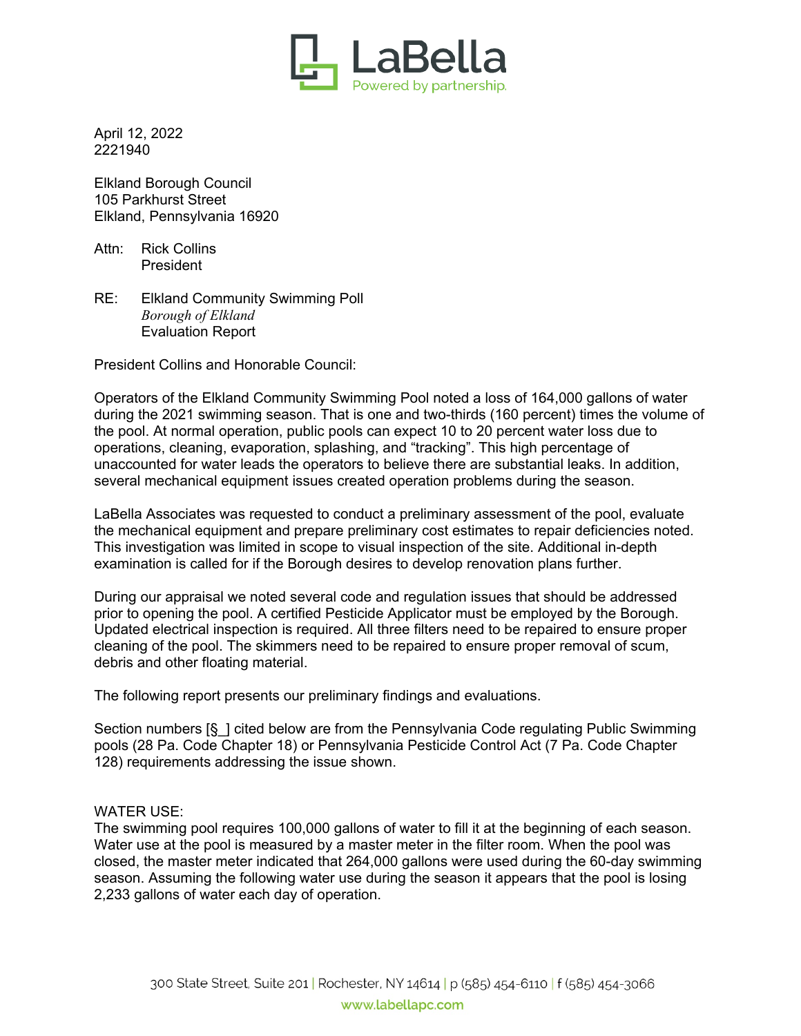

April 12, 2022 2221940

Elkland Borough Council 105 Parkhurst Street Elkland, Pennsylvania 16920

Attn: Rick Collins President

RE: Elkland Community Swimming Poll *Borough of Elkland* Evaluation Report

President Collins and Honorable Council:

Operators of the Elkland Community Swimming Pool noted a loss of 164,000 gallons of water during the 2021 swimming season. That is one and two-thirds (160 percent) times the volume of the pool. At normal operation, public pools can expect 10 to 20 percent water loss due to operations, cleaning, evaporation, splashing, and "tracking". This high percentage of unaccounted for water leads the operators to believe there are substantial leaks. In addition, several mechanical equipment issues created operation problems during the season.

LaBella Associates was requested to conduct a preliminary assessment of the pool, evaluate the mechanical equipment and prepare preliminary cost estimates to repair deficiencies noted. This investigation was limited in scope to visual inspection of the site. Additional in-depth examination is called for if the Borough desires to develop renovation plans further.

During our appraisal we noted several code and regulation issues that should be addressed prior to opening the pool. A certified Pesticide Applicator must be employed by the Borough. Updated electrical inspection is required. All three filters need to be repaired to ensure proper cleaning of the pool. The skimmers need to be repaired to ensure proper removal of scum, debris and other floating material.

The following report presents our preliminary findings and evaluations.

Section numbers [§ ] cited below are from the Pennsylvania Code regulating Public Swimming pools (28 Pa. Code Chapter 18) or Pennsylvania Pesticide Control Act (7 Pa. Code Chapter 128) requirements addressing the issue shown.

## WATER USE:

The swimming pool requires 100,000 gallons of water to fill it at the beginning of each season. Water use at the pool is measured by a master meter in the filter room. When the pool was closed, the master meter indicated that 264,000 gallons were used during the 60-day swimming season. Assuming the following water use during the season it appears that the pool is losing 2,233 gallons of water each day of operation.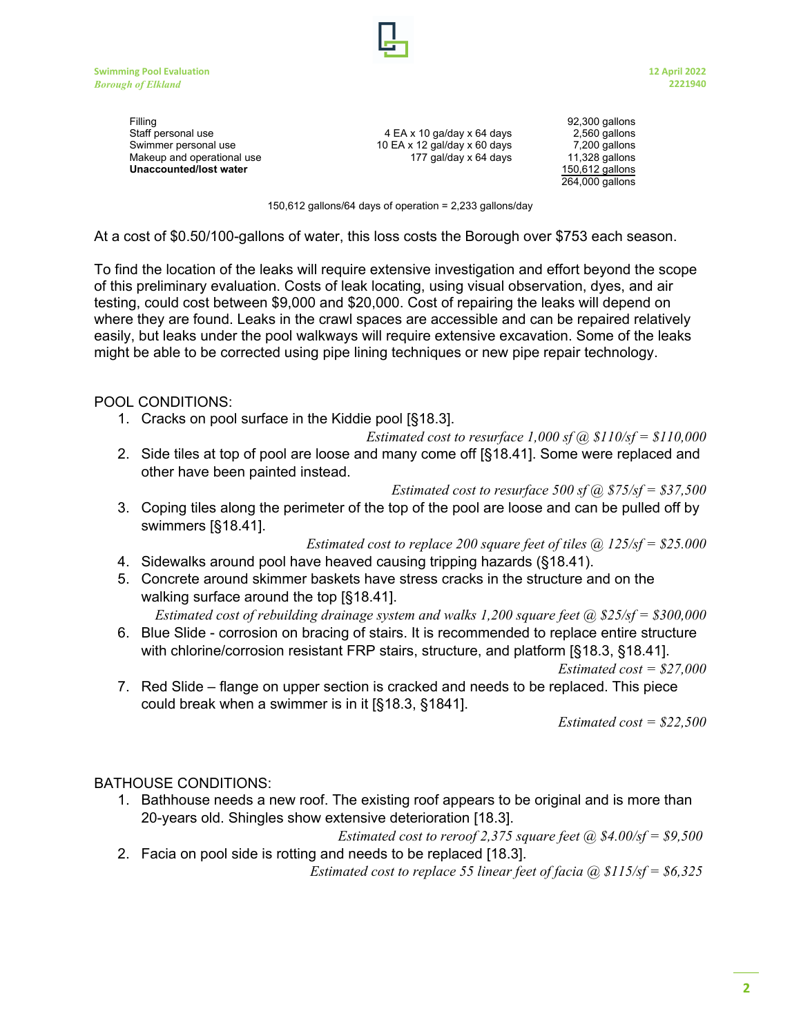

Filling 92,300 gallons Staff personal use **1980 COV EX 10 gallons** 4 EA x 10 ga/day x 64 days 2,560 gallons Swimmer personal use 10 EA x 12 gal/day x 60 days 7,200 gallons<br>Makeup and operational use 177 gal/day x 64 days 11,328 gallons Makeup and operational use 177 gal/day x 64 days 11,328 gallons<br>
Unaccounted/lost water 150,612 gallons **Unaccounted/lost water** 

264,000 gallons

150,612 gallons/64 days of operation = 2,233 gallons/day

At a cost of \$0.50/100-gallons of water, this loss costs the Borough over \$753 each season.

To find the location of the leaks will require extensive investigation and effort beyond the scope of this preliminary evaluation. Costs of leak locating, using visual observation, dyes, and air testing, could cost between \$9,000 and \$20,000. Cost of repairing the leaks will depend on where they are found. Leaks in the crawl spaces are accessible and can be repaired relatively easily, but leaks under the pool walkways will require extensive excavation. Some of the leaks might be able to be corrected using pipe lining techniques or new pipe repair technology.

POOL CONDITIONS:

1. Cracks on pool surface in the Kiddie pool [§18.3].

*Estimated cost to resurface 1,000 sf @ \$110/sf = \$110,000*

2. Side tiles at top of pool are loose and many come off [§18.41]. Some were replaced and other have been painted instead.

*Estimated cost to resurface 500 sf @ \$75/sf = \$37,500*

3. Coping tiles along the perimeter of the top of the pool are loose and can be pulled off by swimmers [§18.41].

*Estimated cost to replace 200 square feet of tiles @ 125/sf = \$25.000*

- 4. Sidewalks around pool have heaved causing tripping hazards (§18.41).
- 5. Concrete around skimmer baskets have stress cracks in the structure and on the walking surface around the top [§18.41].

*Estimated cost of rebuilding drainage system and walks 1,200 square feet @ \$25/sf = \$300,000*

6. Blue Slide - corrosion on bracing of stairs. It is recommended to replace entire structure with chlorine/corrosion resistant FRP stairs, structure, and platform [§18.3, §18.41].

*Estimated cost = \$27,000*

7. Red Slide – flange on upper section is cracked and needs to be replaced. This piece could break when a swimmer is in it [§18.3, §1841].

*Estimated cost = \$22,500*

## BATHOUSE CONDITIONS:

1. Bathhouse needs a new roof. The existing roof appears to be original and is more than 20-years old. Shingles show extensive deterioration [18.3].

*Estimated cost to reroof 2,375 square feet @ \$4.00/sf = \$9,500*  2. Facia on pool side is rotting and needs to be replaced [18.3].

*Estimated cost to replace 55 linear feet of facia @ \$115/sf = \$6,325*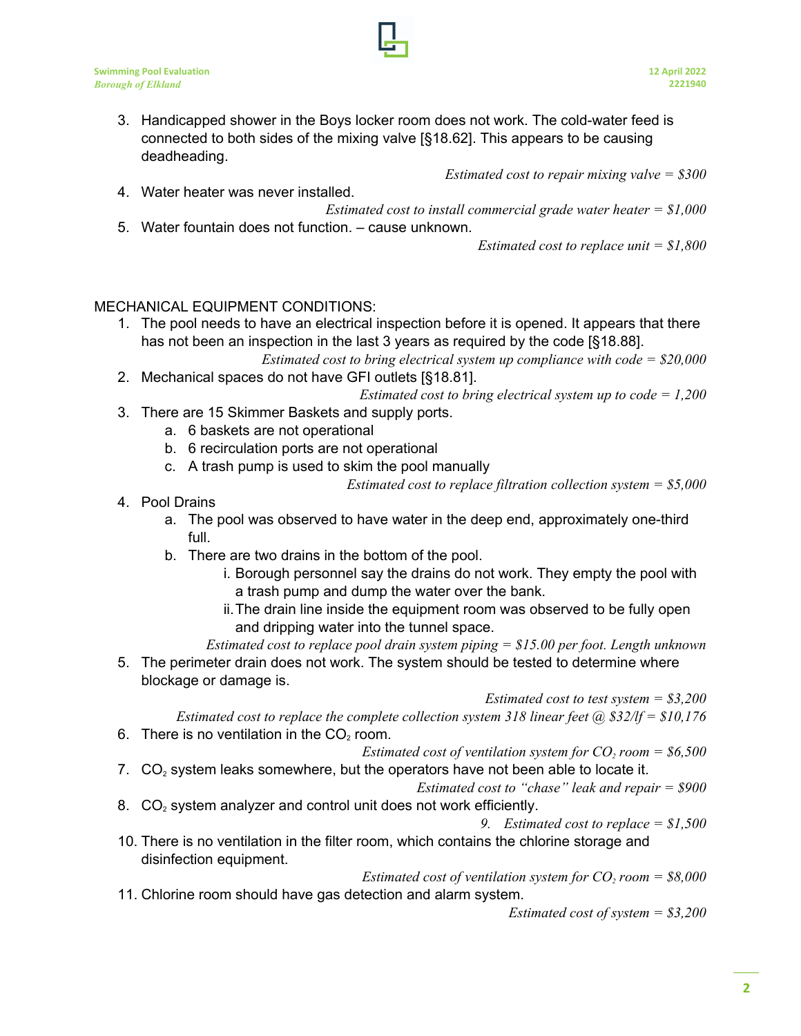3. Handicapped shower in the Boys locker room does not work. The cold-water feed is connected to both sides of the mixing valve [§18.62]. This appears to be causing deadheading.

*Estimated cost to repair mixing valve = \$300*

4. Water heater was never installed. *Estimated cost to install commercial grade water heater = \$1,000* 5. Water fountain does not function. – cause unknown.

*Estimated cost to replace unit = \$1,800*

## MECHANICAL EQUIPMENT CONDITIONS:

1. The pool needs to have an electrical inspection before it is opened. It appears that there has not been an inspection in the last 3 years as required by the code [§18.88].

*Estimated cost to bring electrical system up compliance with code = \$20,000*

2. Mechanical spaces do not have GFI outlets [§18.81].

*Estimated cost to bring electrical system up to code = 1,200*

- 3. There are 15 Skimmer Baskets and supply ports.
	- a. 6 baskets are not operational
	- b. 6 recirculation ports are not operational
	- c. A trash pump is used to skim the pool manually

*Estimated cost to replace filtration collection system = \$5,000*

4. Pool Drains

disinfection equipment.

- a. The pool was observed to have water in the deep end, approximately one-third full.
- b. There are two drains in the bottom of the pool.
	- i. Borough personnel say the drains do not work. They empty the pool with a trash pump and dump the water over the bank.
	- ii.The drain line inside the equipment room was observed to be fully open and dripping water into the tunnel space.

*Estimated cost to replace pool drain system piping = \$15.00 per foot. Length unknown*

5. The perimeter drain does not work. The system should be tested to determine where blockage or damage is.

*Estimated cost to test system = \$3,200*

*Estimated cost to replace the complete collection system 318 linear feet @ \$32/lf = \$10,176* 6. There is no ventilation in the  $CO<sub>2</sub>$  room.

*Estimated cost of ventilation system for CO2 room = \$6,500*

7.  $CO<sub>2</sub>$  system leaks somewhere, but the operators have not been able to locate it.

*Estimated cost to "chase" leak and repair = \$900*

8.  $CO<sub>2</sub>$  system analyzer and control unit does not work efficiently.

*9. Estimated cost to replace = \$1,500* 10. There is no ventilation in the filter room, which contains the chlorine storage and

- *Estimated cost of ventilation system for*  $CO_2$  *room = \$8,000*
- 11. Chlorine room should have gas detection and alarm system.

*Estimated cost of system = \$3,200*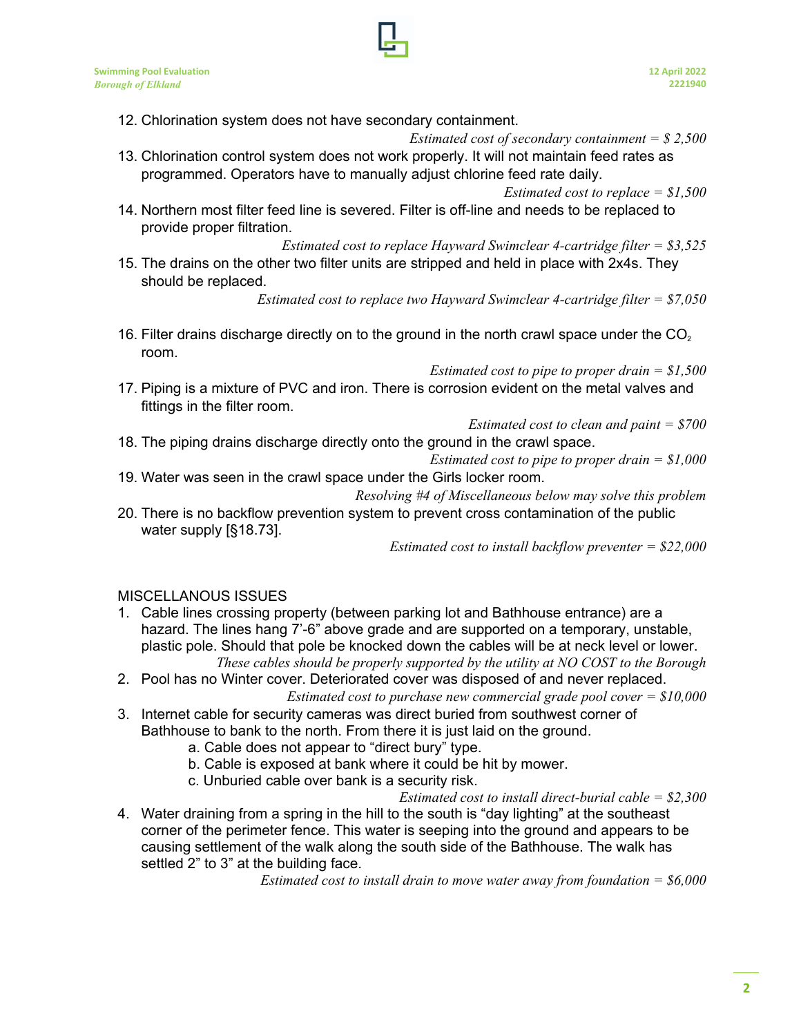- 12. Chlorination system does not have secondary containment.
- *Estimated cost of secondary containment = \$ 2,500* 13. Chlorination control system does not work properly. It will not maintain feed rates as
- programmed. Operators have to manually adjust chlorine feed rate daily.

14. Northern most filter feed line is severed. Filter is off-line and needs to be replaced to provide proper filtration.

*Estimated cost to replace Hayward Swimclear 4-cartridge filter = \$3,525*

15. The drains on the other two filter units are stripped and held in place with 2x4s. They should be replaced.

*Estimated cost to replace two Hayward Swimclear 4-cartridge filter = \$7,050*

16. Filter drains discharge directly on to the ground in the north crawl space under the  $CO<sub>2</sub>$ room.

*Estimated cost to pipe to proper drain = \$1,500*

17. Piping is a mixture of PVC and iron. There is corrosion evident on the metal valves and fittings in the filter room.

*Estimated cost to clean and paint = \$700*

18. The piping drains discharge directly onto the ground in the crawl space.

*Estimated cost to pipe to proper drain = \$1,000*

19. Water was seen in the crawl space under the Girls locker room.

*Resolving #4 of Miscellaneous below may solve this problem*

20. There is no backflow prevention system to prevent cross contamination of the public water supply [§18.73].

*Estimated cost to install backflow preventer = \$22,000*

## MISCELLANOUS ISSUES

- 1. Cable lines crossing property (between parking lot and Bathhouse entrance) are a hazard. The lines hang 7'-6" above grade and are supported on a temporary, unstable, plastic pole. Should that pole be knocked down the cables will be at neck level or lower. *These cables should be properly supported by the utility at NO COST to the Borough*
- 2. Pool has no Winter cover. Deteriorated cover was disposed of and never replaced. *Estimated cost to purchase new commercial grade pool cover = \$10,000*
- 3. Internet cable for security cameras was direct buried from southwest corner of Bathhouse to bank to the north. From there it is just laid on the ground.
	- a. Cable does not appear to "direct bury" type.
	- b. Cable is exposed at bank where it could be hit by mower.
	- c. Unburied cable over bank is a security risk.

*Estimated cost to install direct-burial cable = \$2,300*

4. Water draining from a spring in the hill to the south is "day lighting" at the southeast corner of the perimeter fence. This water is seeping into the ground and appears to be causing settlement of the walk along the south side of the Bathhouse. The walk has settled 2" to 3" at the building face.

*Estimated cost to install drain to move water away from foundation = \$6,000*

*Estimated cost to replace = \$1,500*